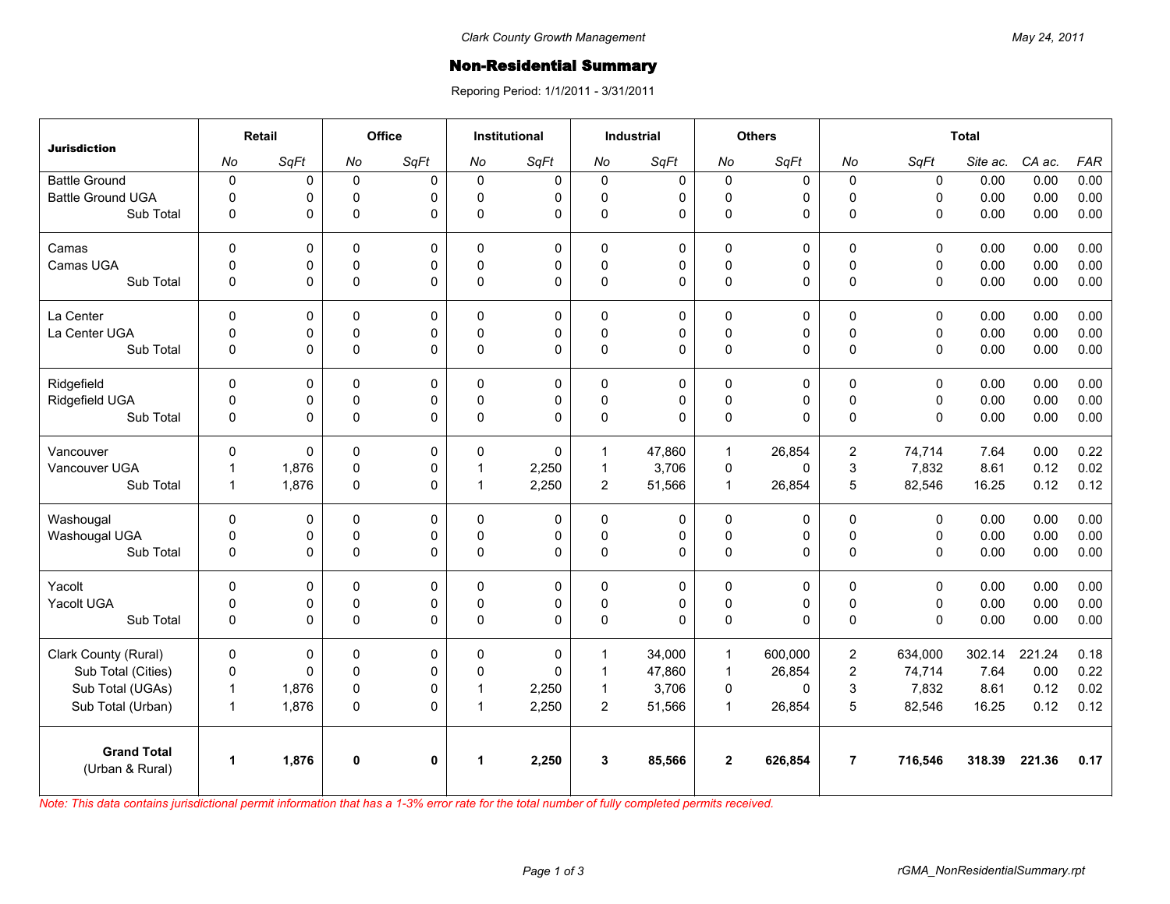## **Non-Residential Summary**

Reporing Period: 1/1/2011 - 3/31/2011

| <b>Jurisdiction</b>      | Retail               |       | Office      |             | <b>Institutional</b> |             | <b>Industrial</b> |              | <b>Others</b> |         | <b>Total</b>   |              |          |        |            |
|--------------------------|----------------------|-------|-------------|-------------|----------------------|-------------|-------------------|--------------|---------------|---------|----------------|--------------|----------|--------|------------|
|                          | No                   | SqFt  | No          | SqFt        | No                   | SqFt        | No                | SqFt         | No            | SqFt    | No             | SqFt         | Site ac. | CA ac. | <b>FAR</b> |
| <b>Battle Ground</b>     | $\pmb{0}$            | 0     | $\mathbf 0$ | $\Omega$    | 0                    | 0           | $\mathbf 0$       | 0            | $\mathbf 0$   | 0       | $\mathbf 0$    | $\pmb{0}$    | 0.00     | 0.00   | 0.00       |
| <b>Battle Ground UGA</b> | $\Omega$             | 0     | $\mathbf 0$ | $\Omega$    | $\Omega$             | 0           | $\mathbf 0$       | 0            | $\mathbf 0$   | 0       | $\Omega$       | $\mathbf{0}$ | 0.00     | 0.00   | 0.00       |
| Sub Total                | 0                    | 0     | $\mathbf 0$ | $\Omega$    | $\mathbf{0}$         | $\Omega$    | $\pmb{0}$         | 0            | $\pmb{0}$     | 0       | $\Omega$       | $\mathbf{0}$ | 0.00     | 0.00   | 0.00       |
| Camas                    | $\Omega$             | 0     | $\Omega$    | $\Omega$    | $\Omega$             | $\mathbf 0$ | $\Omega$          | $\mathbf 0$  | $\Omega$      | 0       | $\Omega$       | $\mathbf{0}$ | 0.00     | 0.00   | 0.00       |
| Camas UGA                | $\mathbf 0$          | 0     | $\pmb{0}$   | 0           | $\Omega$             | 0           | $\pmb{0}$         | 0            | $\pmb{0}$     | 0       | $\mathbf 0$    | $\mathbf 0$  | 0.00     | 0.00   | 0.00       |
| Sub Total                | $\mathbf 0$          | 0     | $\pmb{0}$   | $\Omega$    | $\Omega$             | $\Omega$    | $\Omega$          | $\Omega$     | $\pmb{0}$     | 0       | $\Omega$       | $\mathbf{0}$ | 0.00     | 0.00   | 0.00       |
| La Center                | $\mathbf 0$          | 0     | $\mathbf 0$ | $\mathbf 0$ | $\mathbf{0}$         | $\mathbf 0$ | $\mathbf 0$       | 0            | $\pmb{0}$     | 0       | $\mathbf 0$    | $\mathbf 0$  | 0.00     | 0.00   | 0.00       |
| La Center UGA            | 0                    | 0     | $\mathbf 0$ | 0           | $\Omega$             | 0           | $\mathbf 0$       | $\mathbf 0$  | $\mathbf 0$   | 0       | $\pmb{0}$      | $\mathbf 0$  | 0.00     | 0.00   | 0.00       |
| Sub Total                | $\mathbf 0$          | 0     | $\pmb{0}$   | $\Omega$    | $\Omega$             | 0           | $\pmb{0}$         | $\Omega$     | $\pmb{0}$     | 0       | $\mathbf{0}$   | $\mathbf{0}$ | 0.00     | 0.00   | 0.00       |
| Ridgefield               | $\Omega$             | 0     | 0           | $\Omega$    | 0                    | 0           | $\Omega$          | $\mathbf 0$  | 0             | 0       | 0              | $\mathbf{0}$ | 0.00     | 0.00   | 0.00       |
| Ridgefield UGA           | 0                    | 0     | 0           | 0           | $\mathbf 0$          | 0           | $\mathsf 0$       | $\mathsf 0$  | $\mathsf 0$   | 0       | $\pmb{0}$      | $\mathbf 0$  | 0.00     | 0.00   | 0.00       |
| Sub Total                | $\mathbf 0$          | 0     | $\pmb{0}$   | $\Omega$    | $\Omega$             | 0           | $\pmb{0}$         | $\mathbf{0}$ | $\pmb{0}$     | 0       | $\Omega$       | $\mathbf{0}$ | 0.00     | 0.00   | 0.00       |
| Vancouver                | $\mathbf{0}$         | 0     | $\mathbf 0$ | $\Omega$    | $\Omega$             | $\Omega$    | $\mathbf{1}$      | 47,860       | $\mathbf{1}$  | 26.854  | $\overline{2}$ | 74,714       | 7.64     | 0.00   | 0.22       |
| Vancouver UGA            | 1                    | 1,876 | 0           | 0           | 1                    | 2,250       | $\mathbf{1}$      | 3,706        | $\mathbf 0$   | 0       | $\mathbf{3}$   | 7,832        | 8.61     | 0.12   | 0.02       |
| Sub Total                | $\mathbf{1}$         | 1,876 | $\mathbf 0$ | 0           | 1                    | 2,250       | $\overline{2}$    | 51,566       | $\mathbf{1}$  | 26,854  | 5              | 82,546       | 16.25    | 0.12   | 0.12       |
| Washougal                | $\mathbf{0}$         | 0     | 0           | 0           | 0                    | 0           | $\pmb{0}$         | $\mathbf 0$  | 0             | 0       | $\pmb{0}$      | $\mathbf 0$  | 0.00     | 0.00   | 0.00       |
| Washougal UGA            | 0                    | 0     | $\mathbf 0$ | $\Omega$    | $\mathbf{0}$         | 0           | $\mathbf 0$       | 0            | $\pmb{0}$     | 0       | $\pmb{0}$      | $\mathbf 0$  | 0.00     | 0.00   | 0.00       |
| Sub Total                | 0                    | 0     | $\pmb{0}$   | $\Omega$    | $\mathbf 0$          | $\Omega$    | $\pmb{0}$         | $\Omega$     | $\pmb{0}$     | 0       | $\pmb{0}$      | $\mathbf 0$  | 0.00     | 0.00   | 0.00       |
| Yacolt                   | $\Omega$             | 0     | $\mathbf 0$ | $\Omega$    | $\Omega$             | 0           | $\Omega$          | 0            | $\mathbf 0$   | 0       | $\Omega$       | $\mathbf{0}$ | 0.00     | 0.00   | 0.00       |
| Yacolt UGA               | 0                    | 0     | 0           | 0           | $\Omega$             | 0           | $\pmb{0}$         | 0            | $\pmb{0}$     | 0       | $\pmb{0}$      | $\mathsf 0$  | 0.00     | 0.00   | 0.00       |
| Sub Total                | $\mathbf 0$          | 0     | $\Omega$    | $\Omega$    | $\Omega$             | $\Omega$    | $\Omega$          | $\Omega$     | $\pmb{0}$     | 0       | $\Omega$       | $\mathbf{0}$ | 0.00     | 0.00   | 0.00       |
| Clark County (Rural)     | $\mathbf 0$          | 0     | 0           | 0           | 0                    | 0           | $\mathbf{1}$      | 34,000       | $\mathbf{1}$  | 600,000 | $\overline{2}$ | 634,000      | 302.14   | 221.24 | 0.18       |
| Sub Total (Cities)       | $\pmb{0}$            | 0     | $\mathbf 0$ | $\Omega$    | $\Omega$             | $\Omega$    | $\mathbf{1}$      | 47,860       | $\mathbf{1}$  | 26,854  | $\overline{2}$ | 74,714       | 7.64     | 0.00   | 0.22       |
| Sub Total (UGAs)         | $\mathbf{1}$         | 1,876 | 0           | 0           | 1                    | 2,250       | $\mathbf{1}$      | 3,706        | $\pmb{0}$     | 0       | $\mathbf{3}$   | 7,832        | 8.61     | 0.12   | 0.02       |
| Sub Total (Urban)        | $\mathbf{1}$         | 1,876 | 0           | 0           | $\mathbf 1$          | 2,250       | $\overline{2}$    | 51,566       | $\mathbf{1}$  | 26,854  | 5              | 82,546       | 16.25    | 0.12   | 0.12       |
| <b>Grand Total</b>       | $\blacktriangleleft$ | 1,876 | $\mathbf 0$ | $\mathbf 0$ | 1                    | 2,250       | $\mathbf{3}$      | 85,566       | $\mathbf{2}$  | 626,854 | $\overline{7}$ | 716,546      | 318.39   | 221.36 | 0.17       |
| (Urban & Rural)          |                      |       |             |             |                      |             |                   |              |               |         |                |              |          |        |            |

*Note: This data contains jurisdictional permit information that has a 1-3% error rate for the total number of fully completed permits received.*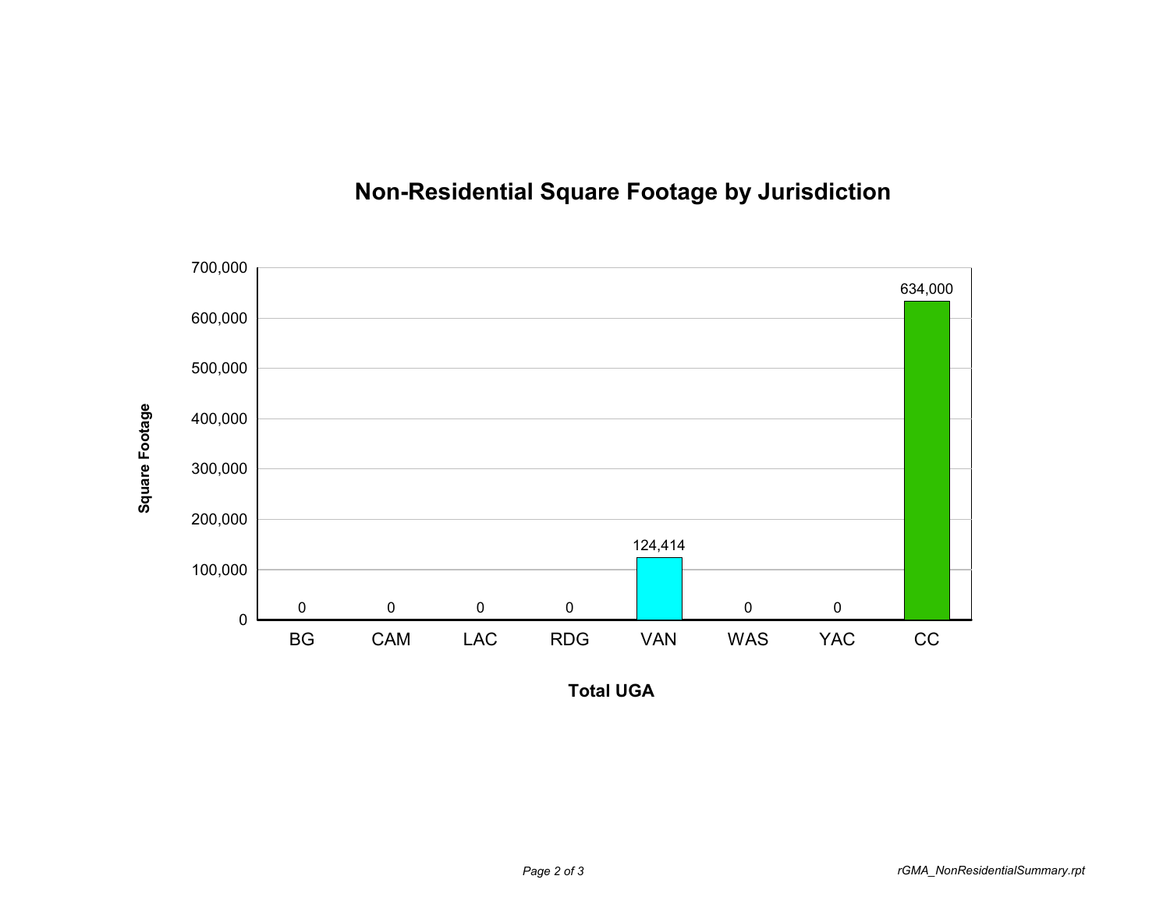## **Non-Residential Square Footage by Jurisdiction**



**Total UGA**